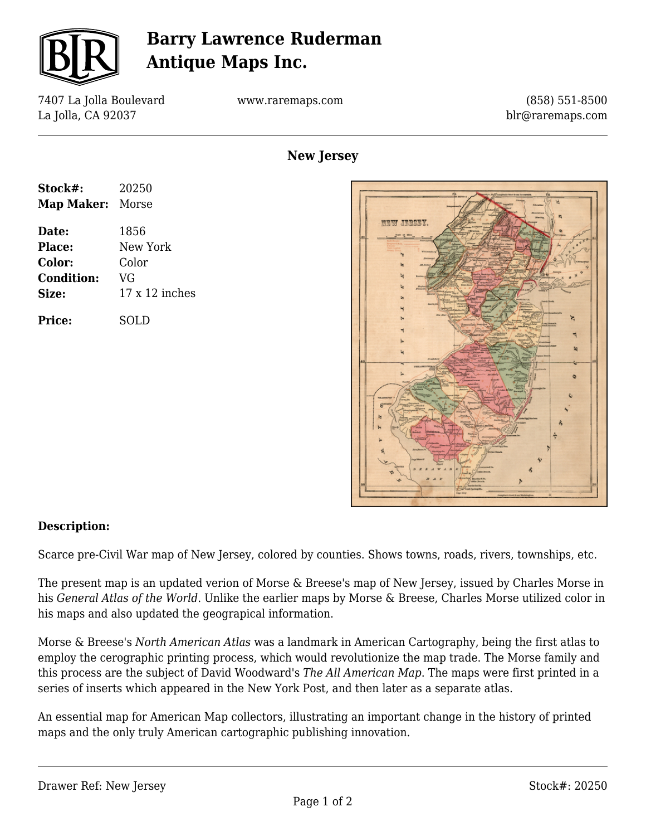

## **Barry Lawrence Ruderman Antique Maps Inc.**

7407 La Jolla Boulevard La Jolla, CA 92037

www.raremaps.com

(858) 551-8500 blr@raremaps.com

| Stock#:           | 20250                 |
|-------------------|-----------------------|
| Map Maker: Morse  |                       |
| Date:             | 1856                  |
| Place:            | New York              |
| Color:            | Color                 |
| <b>Condition:</b> | VG                    |
| Size:             | $17 \times 12$ inches |
| Price:            | SOLD                  |

**New Jersey**



## **Description:**

Scarce pre-Civil War map of New Jersey, colored by counties. Shows towns, roads, rivers, townships, etc.

The present map is an updated verion of Morse & Breese's map of New Jersey, issued by Charles Morse in his *General Atlas of the World*. Unlike the earlier maps by Morse & Breese, Charles Morse utilized color in his maps and also updated the geograpical information.

Morse & Breese's *North American Atlas* was a landmark in American Cartography, being the first atlas to employ the cerographic printing process, which would revolutionize the map trade. The Morse family and this process are the subject of David Woodward's *The All American Map*. The maps were first printed in a series of inserts which appeared in the New York Post, and then later as a separate atlas.

An essential map for American Map collectors, illustrating an important change in the history of printed maps and the only truly American cartographic publishing innovation.